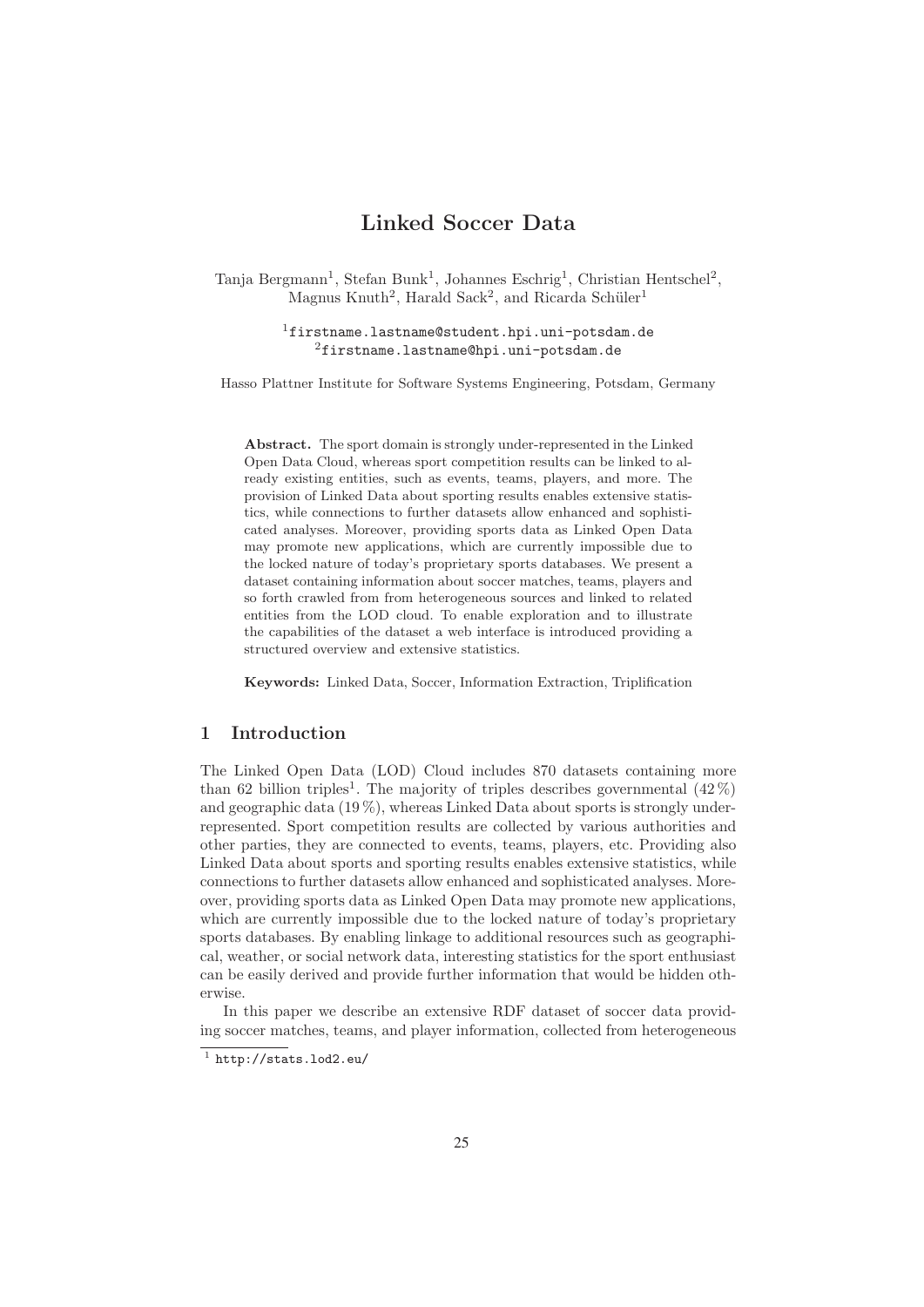# **Linked Soccer Data**

Tanja Bergmann<sup>1</sup>, Stefan Bunk<sup>1</sup>, Johannes Eschrig<sup>1</sup>, Christian Hentschel<sup>2</sup>, Magnus Knuth<sup>2</sup>, Harald Sack<sup>2</sup>, and Ricarda Schüler<sup>1</sup>

> <sup>1</sup>firstname.lastname@student.hpi.uni-potsdam.de  ${}^{2}$ firstname.lastname@hpi.uni-potsdam.de

Hasso Plattner Institute for Software Systems Engineering, Potsdam, Germany

**Abstract.** The sport domain is strongly under-represented in the Linked Open Data Cloud, whereas sport competition results can be linked to already existing entities, such as events, teams, players, and more. The provision of Linked Data about sporting results enables extensive statistics, while connections to further datasets allow enhanced and sophisticated analyses. Moreover, providing sports data as Linked Open Data may promote new applications, which are currently impossible due to the locked nature of today's proprietary sports databases. We present a dataset containing information about soccer matches, teams, players and so forth crawled from from heterogeneous sources and linked to related entities from the LOD cloud. To enable exploration and to illustrate the capabilities of the dataset a web interface is introduced providing a structured overview and extensive statistics.

**Keywords:** Linked Data, Soccer, Information Extraction, Triplification

#### **1 Introduction**

The Linked Open Data (LOD) Cloud includes 870 datasets containing more than 62 billion triples<sup>1</sup>. The majority of triples describes governmental  $(42\%)$ and geographic data (19 %), whereas Linked Data about sports is strongly underrepresented. Sport competition results are collected by various authorities and other parties, they are connected to events, teams, players, etc. Providing also Linked Data about sports and sporting results enables extensive statistics, while connections to further datasets allow enhanced and sophisticated analyses. Moreover, providing sports data as Linked Open Data may promote new applications, which are currently impossible due to the locked nature of today's proprietary sports databases. By enabling linkage to additional resources such as geographical, weather, or social network data, interesting statistics for the sport enthusiast can be easily derived and provide further information that would be hidden otherwise.

In this paper we describe an extensive RDF dataset of soccer data providing soccer matches, teams, and player information, collected from heterogeneous

 $1$  http://stats.lod2.eu/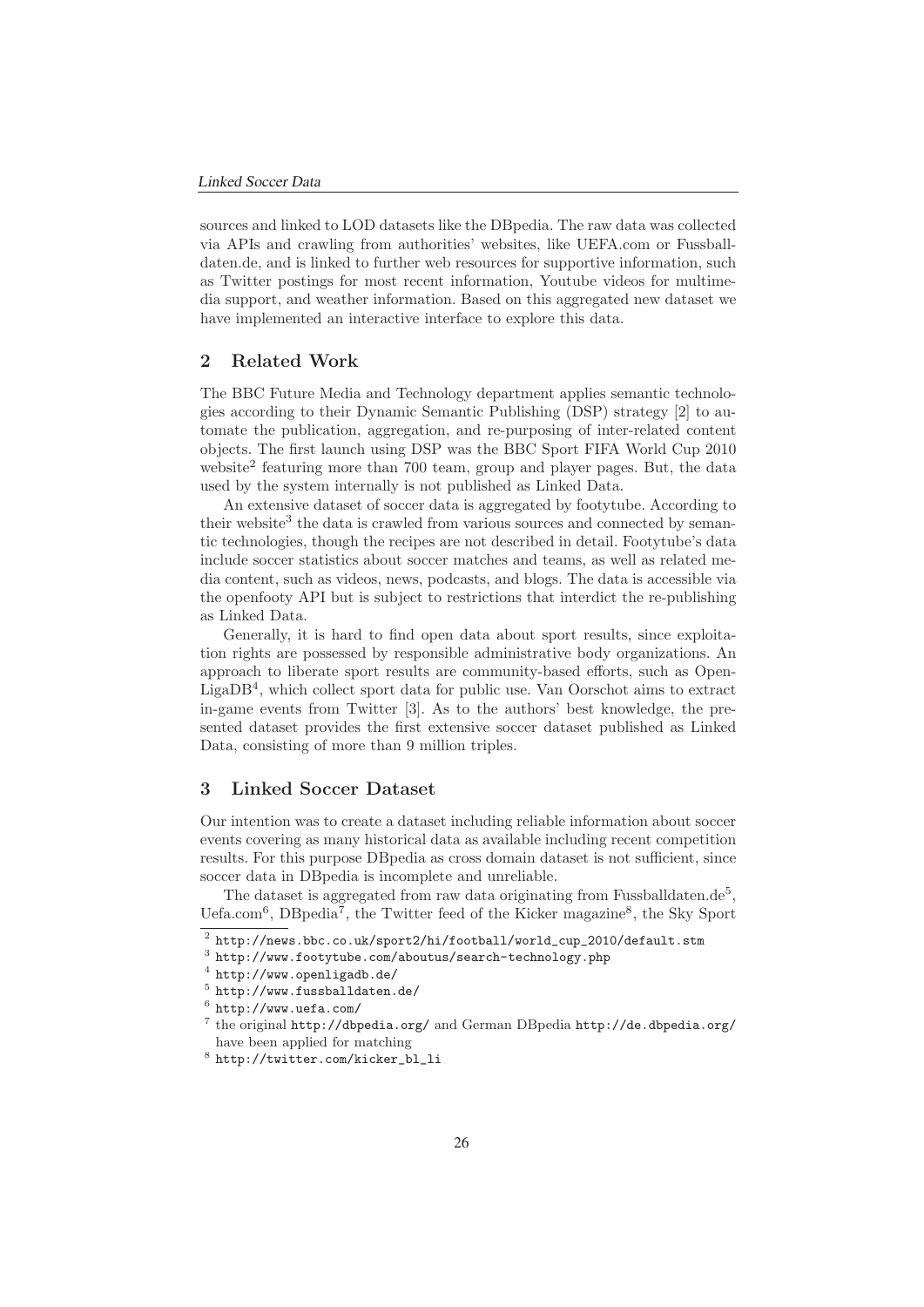sources and linked to LOD datasets like the DBpedia. The raw data was collected via APIs and crawling from authorities' websites, like UEFA.com or Fussballdaten.de, and is linked to further web resources for supportive information, such as Twitter postings for most recent information, Youtube videos for multimedia support, and weather information. Based on this aggregated new dataset we have implemented an interactive interface to explore this data.

#### **2 Related Work**

The BBC Future Media and Technology department applies semantic technologies according to their Dynamic Semantic Publishing (DSP) strategy [2] to automate the publication, aggregation, and re-purposing of inter-related content objects. The first launch using DSP was the BBC Sport FIFA World Cup 2010 website<sup>2</sup> featuring more than 700 team, group and player pages. But, the data used by the system internally is not published as Linked Data.

An extensive dataset of soccer data is aggregated by footytube. According to their website<sup>3</sup> the data is crawled from various sources and connected by semantic technologies, though the recipes are not described in detail. Footytube's data include soccer statistics about soccer matches and teams, as well as related media content, such as videos, news, podcasts, and blogs. The data is accessible via the openfooty API but is subject to restrictions that interdict the re-publishing as Linked Data.

Generally, it is hard to find open data about sport results, since exploitation rights are possessed by responsible administrative body organizations. An approach to liberate sport results are community-based efforts, such as Open-LigaDB4, which collect sport data for public use. Van Oorschot aims to extract in-game events from Twitter [3]. As to the authors' best knowledge, the presented dataset provides the first extensive soccer dataset published as Linked Data, consisting of more than 9 million triples.

## **3 Linked Soccer Dataset**

Our intention was to create a dataset including reliable information about soccer events covering as many historical data as available including recent competition results. For this purpose DBpedia as cross domain dataset is not sufficient, since soccer data in DBpedia is incomplete and unreliable.

The dataset is aggregated from raw data originating from Fussballdaten.de<sup>5</sup>. Uefa.com<sup>6</sup>, DBpedia<sup>7</sup>, the Twitter feed of the Kicker magazine<sup>8</sup>, the Sky Sport

 $^2$ http://news.bbc.co.uk/sport2/hi/football/world\_cup\_2010/default.stm

<sup>3</sup> http://www.footytube.com/aboutus/search-technology.php

<sup>4</sup> http://www.openligadb.de/

 $5$  http://www.fussballdaten.de/

 $6$  http://www.uefa.com/

 $7$  the original http://dbpedia.org/ and German DBpedia http://de.dbpedia.org/ have been applied for matching

<sup>8</sup> http://twitter.com/kicker\_bl\_li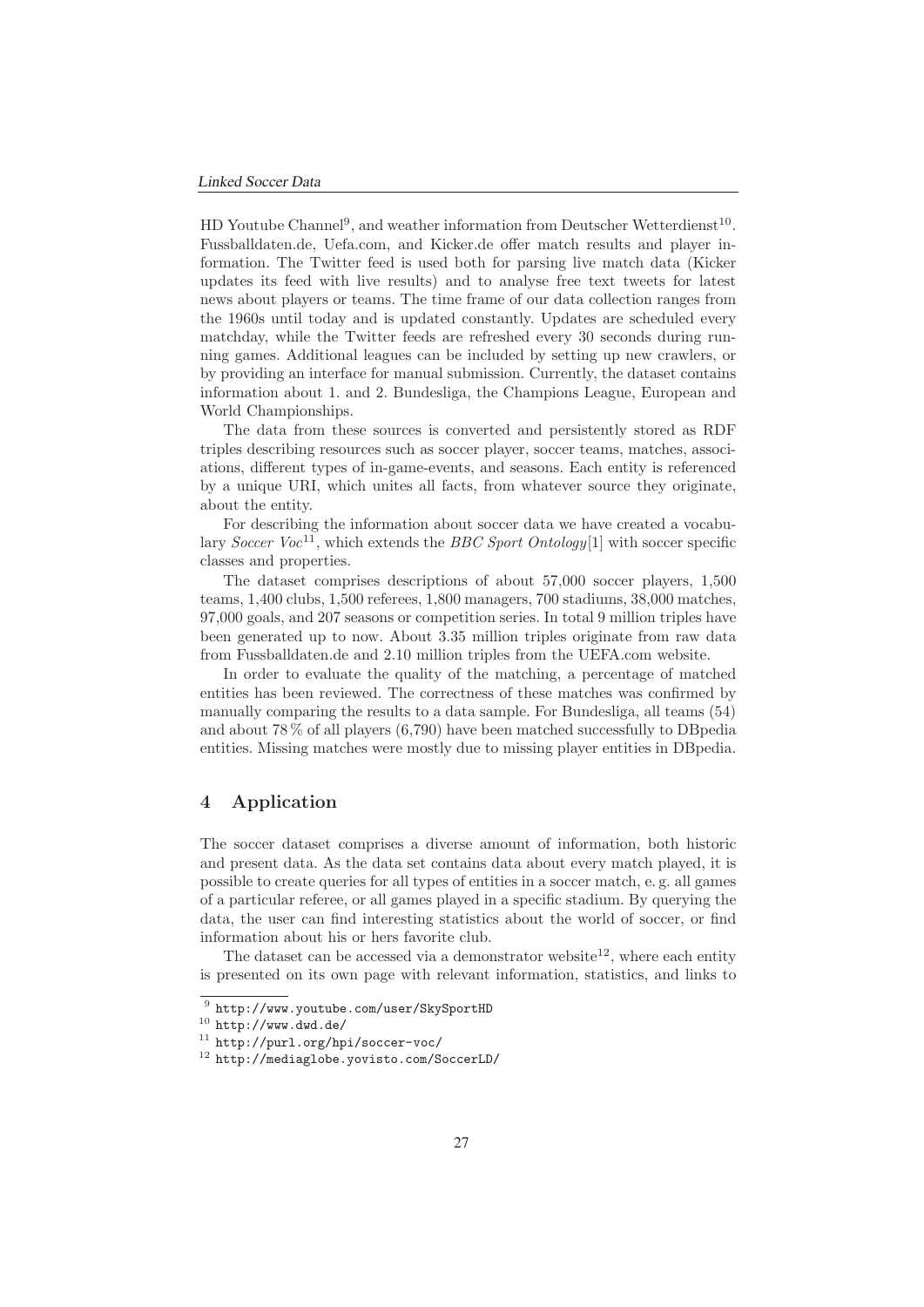HD Youtube Channel<sup>9</sup>, and weather information from Deutscher Wetterdienst<sup>10</sup>. Fussballdaten.de, Uefa.com, and Kicker.de offer match results and player information. The Twitter feed is used both for parsing live match data (Kicker updates its feed with live results) and to analyse free text tweets for latest news about players or teams. The time frame of our data collection ranges from the 1960s until today and is updated constantly. Updates are scheduled every matchday, while the Twitter feeds are refreshed every 30 seconds during running games. Additional leagues can be included by setting up new crawlers, or by providing an interface for manual submission. Currently, the dataset contains information about 1. and 2. Bundesliga, the Champions League, European and World Championships.

The data from these sources is converted and persistently stored as RDF triples describing resources such as soccer player, soccer teams, matches, associations, different types of in-game-events, and seasons. Each entity is referenced by a unique URI, which unites all facts, from whatever source they originate, about the entity.

For describing the information about soccer data we have created a vocabulary Soccer Voc<sup>11</sup>, which extends the BBC Sport Ontology[1] with soccer specific classes and properties.

The dataset comprises descriptions of about 57,000 soccer players, 1,500 teams, 1,400 clubs, 1,500 referees, 1,800 managers, 700 stadiums, 38,000 matches, 97,000 goals, and 207 seasons or competition series. In total 9 million triples have been generated up to now. About 3.35 million triples originate from raw data from Fussballdaten.de and 2.10 million triples from the UEFA.com website.

In order to evaluate the quality of the matching, a percentage of matched entities has been reviewed. The correctness of these matches was confirmed by manually comparing the results to a data sample. For Bundesliga, all teams (54) and about 78 % of all players (6,790) have been matched successfully to DBpedia entities. Missing matches were mostly due to missing player entities in DBpedia.

## **4 Application**

The soccer dataset comprises a diverse amount of information, both historic and present data. As the data set contains data about every match played, it is possible to create queries for all types of entities in a soccer match, e. g. all games of a particular referee, or all games played in a specific stadium. By querying the data, the user can find interesting statistics about the world of soccer, or find information about his or hers favorite club.

The dataset can be accessed via a demonstrator website<sup>12</sup>, where each entity is presented on its own page with relevant information, statistics, and links to

<sup>9</sup> http://www.youtube.com/user/SkySportHD

 $10$  http://www.dwd.de/

<sup>11</sup> http://purl.org/hpi/soccer-voc/

<sup>12</sup> http://mediaglobe.yovisto.com/SoccerLD/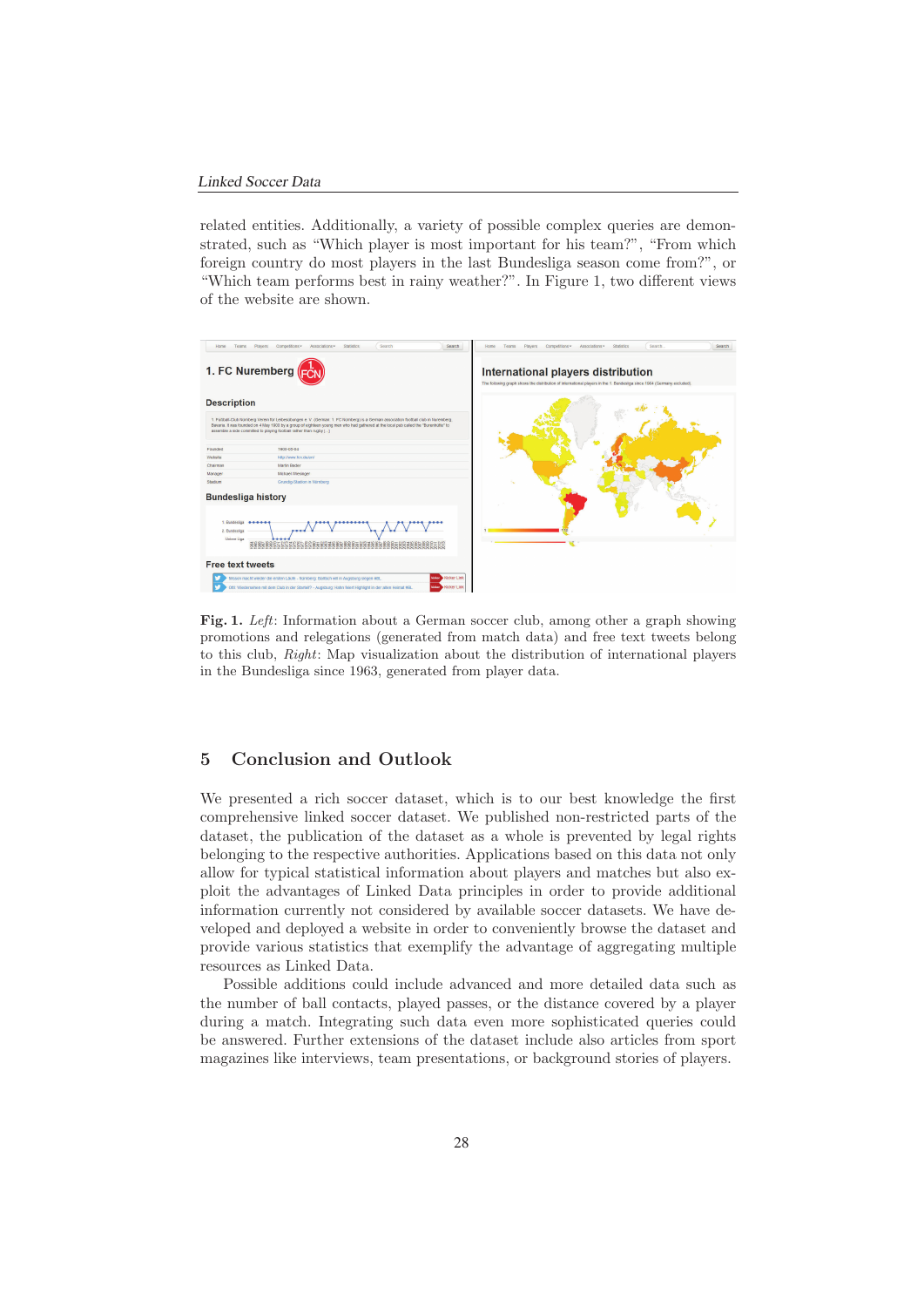related entities. Additionally, a variety of possible complex queries are demonstrated, such as "Which player is most important for his team?", "From which foreign country do most players in the last Bundesliga season come from?", or "Which team performs best in rainy weather?". In Figure 1, two different views of the website are shown.



**Fig. 1.** Left: Information about a German soccer club, among other a graph showing promotions and relegations (generated from match data) and free text tweets belong to this club, Right: Map visualization about the distribution of international players in the Bundesliga since 1963, generated from player data.

## **5 Conclusion and Outlook**

We presented a rich soccer dataset, which is to our best knowledge the first comprehensive linked soccer dataset. We published non-restricted parts of the dataset, the publication of the dataset as a whole is prevented by legal rights belonging to the respective authorities. Applications based on this data not only allow for typical statistical information about players and matches but also exploit the advantages of Linked Data principles in order to provide additional information currently not considered by available soccer datasets. We have developed and deployed a website in order to conveniently browse the dataset and provide various statistics that exemplify the advantage of aggregating multiple resources as Linked Data.

Possible additions could include advanced and more detailed data such as the number of ball contacts, played passes, or the distance covered by a player during a match. Integrating such data even more sophisticated queries could be answered. Further extensions of the dataset include also articles from sport magazines like interviews, team presentations, or background stories of players.